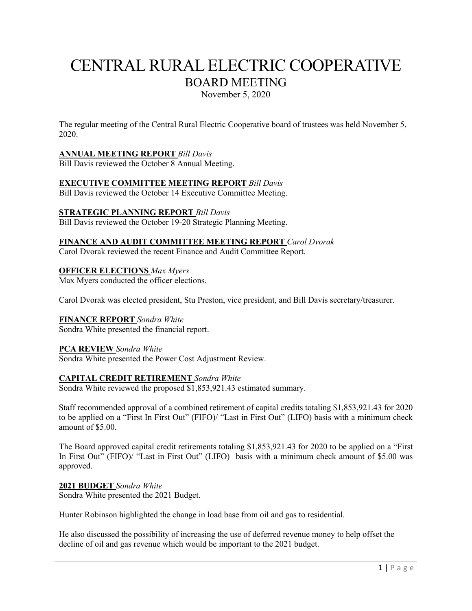# CENTRAL RURAL ELECTRIC COOPERATIVE BOARD MEETING November 5, 2020

The regular meeting of the Central Rural Electric Cooperative board of trustees was held November 5, 2020.

# **ANNUAL MEETING REPORT** *Bill Davis*

Bill Davis reviewed the October 8 Annual Meeting.

# **EXECUTIVE COMMITTEE MEETING REPORT** *Bill Davis*

Bill Davis reviewed the October 14 Executive Committee Meeting.

# **STRATEGIC PLANNING REPORT** *Bill Davis*

Bill Davis reviewed the October 19-20 Strategic Planning Meeting.

# **FINANCE AND AUDIT COMMITTEE MEETING REPORT** *Carol Dvorak*

Carol Dvorak reviewed the recent Finance and Audit Committee Report.

# **OFFICER ELECTIONS** *Max Myers*

Max Myers conducted the officer elections.

Carol Dvorak was elected president, Stu Preston, vice president, and Bill Davis secretary/treasurer.

# **FINANCE REPORT** *Sondra White*

Sondra White presented the financial report.

# **PCA REVIEW** *Sondra White*

Sondra White presented the Power Cost Adjustment Review.

# **CAPITAL CREDIT RETIREMENT** *Sondra White*

Sondra White reviewed the proposed \$1,853,921.43 estimated summary.

Staff recommended approval of a combined retirement of capital credits totaling \$1,853,921.43 for 2020 to be applied on a "First In First Out" (FIFO)/ "Last in First Out" (LIFO) basis with a minimum check amount of \$5.00.

The Board approved capital credit retirements totaling \$1,853,921.43 for 2020 to be applied on a "First In First Out" (FIFO)/ "Last in First Out" (LIFO) basis with a minimum check amount of \$5.00 was approved.

# **2021 BUDGET** *Sondra White*

Sondra White presented the 2021 Budget.

Hunter Robinson highlighted the change in load base from oil and gas to residential.

He also discussed the possibility of increasing the use of deferred revenue money to help offset the decline of oil and gas revenue which would be important to the 2021 budget.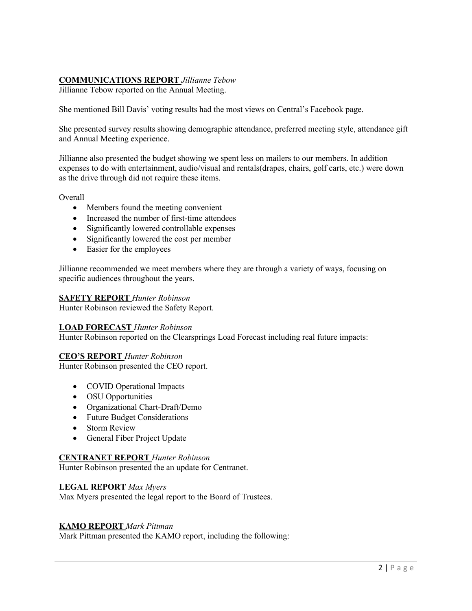# **COMMUNICATIONS REPORT** *Jillianne Tebow*

Jillianne Tebow reported on the Annual Meeting.

She mentioned Bill Davis' voting results had the most views on Central's Facebook page.

She presented survey results showing demographic attendance, preferred meeting style, attendance gift and Annual Meeting experience.

Jillianne also presented the budget showing we spent less on mailers to our members. In addition expenses to do with entertainment, audio/visual and rentals(drapes, chairs, golf carts, etc.) were down as the drive through did not require these items.

**Overall** 

- Members found the meeting convenient
- Increased the number of first-time attendees
- Significantly lowered controllable expenses
- Significantly lowered the cost per member
- Easier for the employees

Jillianne recommended we meet members where they are through a variety of ways, focusing on specific audiences throughout the years.

#### **SAFETY REPORT** *Hunter Robinson*

Hunter Robinson reviewed the Safety Report.

# **LOAD FORECAST** *Hunter Robinson*

Hunter Robinson reported on the Clearsprings Load Forecast including real future impacts:

# **CEO'S REPORT** *Hunter Robinson*

Hunter Robinson presented the CEO report.

- COVID Operational Impacts
- OSU Opportunities
- Organizational Chart-Draft/Demo
- Future Budget Considerations
- Storm Review
- General Fiber Project Update

# **CENTRANET REPORT** *Hunter Robinson*

Hunter Robinson presented the an update for Centranet.

# **LEGAL REPORT** *Max Myers*

Max Myers presented the legal report to the Board of Trustees.

#### **KAMO REPORT** *Mark Pittman*

Mark Pittman presented the KAMO report, including the following: